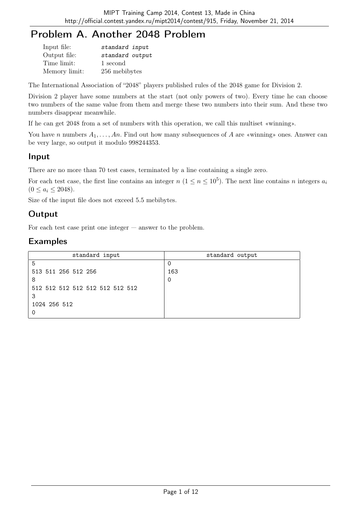# Problem A. Another 2048 Problem

| Input file:   | standard input  |  |
|---------------|-----------------|--|
| Output file:  | standard output |  |
| Time limit:   | 1 second        |  |
| Memory limit: | 256 mebibytes   |  |

The International Association of "2048" players published rules of the 2048 game for Division 2.

Division 2 player have some numbers at the start (not only powers of two). Every time he can choose two numbers of the same value from them and merge these two numbers into their sum. And these two numbers disappear meanwhile.

If he can get 2048 from a set of numbers with this operation, we call this multiset «winning».

You have n numbers  $A_1, \ldots, An$ . Find out how many subsequences of A are «winning» ones. Answer can be very large, so output it modulo 998244353.

### Input

There are no more than 70 test cases, terminated by a line containing a single zero.

For each test case, the first line contains an integer  $n (1 \le n \le 10^5)$ . The next line contains n integers  $a_i$  $(0 \le a_i \le 2048).$ 

Size of the input file does not exceed 5.5 mebibytes.

## Output

For each test case print one integer — answer to the problem.

| standard input                  | standard output |
|---------------------------------|-----------------|
| 5                               |                 |
| 513 511 256 512 256             | 163             |
| 8                               | 0               |
| 512 512 512 512 512 512 512 512 |                 |
| 3                               |                 |
| 1024 256 512                    |                 |
|                                 |                 |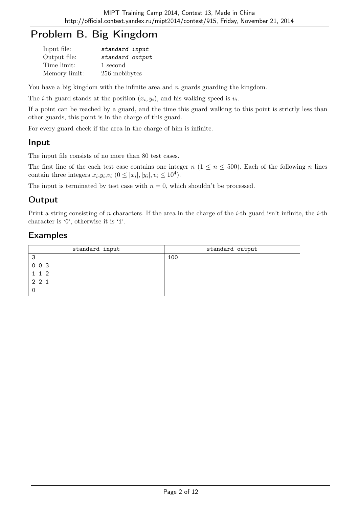# Problem B. Big Kingdom

| Input file:   | standard input  |
|---------------|-----------------|
| Output file:  | standard output |
| Time limit:   | 1 second        |
| Memory limit: | 256 mebibytes   |

You have a big kingdom with the infinite area and  $n$  guards guarding the kingdom.

The *i*-th guard stands at the position  $(x_i, y_i)$ , and his walking speed is  $v_i$ .

If a point can be reached by a guard, and the time this guard walking to this point is strictly less than other guards, this point is in the charge of this guard.

For every guard check if the area in the charge of him is infinite.

### Input

The input file consists of no more than 80 test cases.

The first line of the each test case contains one integer  $n (1 \le n \le 500)$ . Each of the following n lines contain three integers  $x_i, y_i, v_i$   $(0 \leq |x_i|, |y_i|, v_i \leq 10^4)$ .

The input is terminated by test case with  $n = 0$ , which shouldn't be processed.

## Output

Print a string consisting of n characters. If the area in the charge of the *i*-th guard isn't infinite, the *i*-th character is '0', otherwise it is '1'.

| standard input | standard output |
|----------------|-----------------|
| 3              | 100             |
| 003            |                 |
| 112            |                 |
| 2 2 1          |                 |
|                |                 |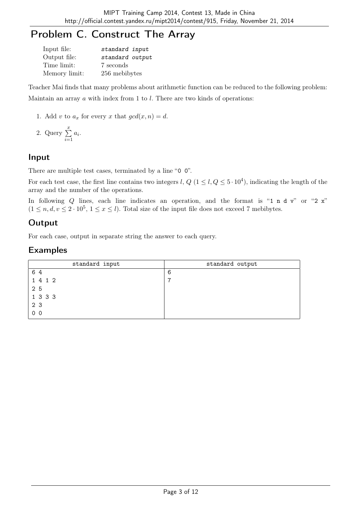# Problem C. Construct The Array

| Input file:   | standard input  |
|---------------|-----------------|
| Output file:  | standard output |
| Time limit:   | 7 seconds       |
| Memory limit: | 256 mebibytes   |

Teacher Mai finds that many problems about arithmetic function can be reduced to the following problem: Maintain an array  $\alpha$  with index from 1 to  $l$ . There are two kinds of operations:

1. Add v to  $a_x$  for every x that  $gcd(x, n) = d$ .

2. Query 
$$
\sum_{i=1}^{x} a_i.
$$

# Input

There are multiple test cases, terminated by a line "0  $0$ ".

For each test case, the first line contains two integers l,  $Q$  ( $1 \leq l, Q \leq 5 \cdot 10^4$ ), indicating the length of the array and the number of the operations.

In following Q lines, each line indicates an operation, and the format is "1 n d v" or "2  $\mathbf{x}$ "  $(1 \leq n, d, v \leq 2 \cdot 10^5, 1 \leq x \leq l)$ . Total size of the input file does not exceed 7 mebibytes.

# **Output**

For each case, output in separate string the answer to each query.

| standard input | standard output |
|----------------|-----------------|
| 64             | 6               |
| 1 4 1 2        |                 |
| 25             |                 |
| 1 3 3 3        |                 |
| 2 3            |                 |
| 0 <sub>0</sub> |                 |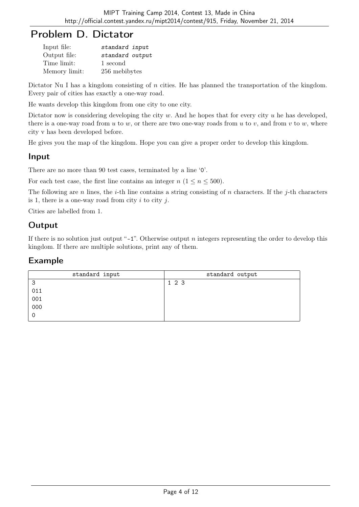# Problem D. Dictator

| Input file:   | standard input  |  |
|---------------|-----------------|--|
| Output file:  | standard output |  |
| Time limit:   | 1 second        |  |
| Memory limit: | 256 mebibytes   |  |

Dictator Nu I has a kingdom consisting of n cities. He has planned the transportation of the kingdom. Every pair of cities has exactly a one-way road.

He wants develop this kingdom from one city to one city.

Dictator now is considering developing the city  $w$ . And he hopes that for every city  $u$  he has developed, there is a one-way road from u to w, or there are two one-way roads from u to v, and from v to w, where city v has been developed before.

He gives you the map of the kingdom. Hope you can give a proper order to develop this kingdom.

## Input

There are no more than 90 test cases, terminated by a line '0'.

For each test case, the first line contains an integer  $n (1 \le n \le 500)$ .

The following are n lines, the *i*-th line contains a string consisting of n characters. If the *j*-th characters is 1, there is a one-way road from city  $i$  to city  $j$ .

Cities are labelled from 1.

## **Output**

If there is no solution just output "-1". Otherwise output  $n$  integers representing the order to develop this kingdom. If there are multiple solutions, print any of them.

| standard input | standard output |
|----------------|-----------------|
| 3              | 1 2 3           |
| 011            |                 |
| 001            |                 |
| 000            |                 |
| 0              |                 |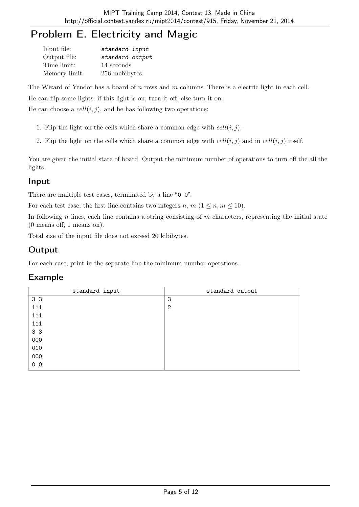# Problem E. Electricity and Magic

| Input file:   | standard input  |
|---------------|-----------------|
| Output file:  | standard output |
| Time limit:   | 14 seconds      |
| Memory limit: | 256 mebibytes   |

The Wizard of Yendor has a board of n rows and m columns. There is a electric light in each cell.

He can flip some lights: if this light is on, turn it off, else turn it on.

He can choose a  $cell(i, j)$ , and he has following two operations:

- 1. Flip the light on the cells which share a common edge with  $cell(i, j)$ .
- 2. Flip the light on the cells which share a common edge with  $cell(i, j)$  and in  $cell(i, j)$  itself.

You are given the initial state of board. Output the minimum number of operations to turn off the all the lights.

### Input

There are multiple test cases, terminated by a line "0 0".

For each test case, the first line contains two integers n,  $m$   $(1 \leq n, m \leq 10)$ .

In following n lines, each line contains a string consisting of  $m$  characters, representing the initial state (0 means off, 1 means on).

Total size of the input file does not exceed 20 kibibytes.

## **Output**

For each case, print in the separate line the minimum number operations.

| standard input | standard output |
|----------------|-----------------|
| 3 3            | 3               |
| 111            | $\overline{2}$  |
| 111            |                 |
| 111            |                 |
| 3 3            |                 |
| 000            |                 |
| 010            |                 |
| 000            |                 |
| 0 <sub>0</sub> |                 |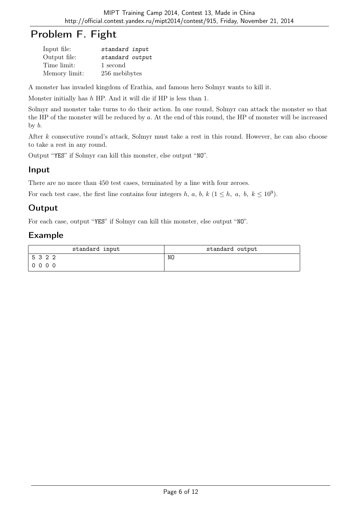# Problem F. Fight

| Input file:   | standard input  |
|---------------|-----------------|
| Output file:  | standard output |
| Time limit:   | 1 second        |
| Memory limit: | 256 mebibytes   |

A monster has invaded kingdom of Erathia, and famous hero Solmyr wants to kill it.

Monster initially has h HP. And it will die if HP is less than 1.

Solmyr and monster take turns to do their action. In one round, Solmyr can attack the monster so that the HP of the monster will be reduced by  $a$ . At the end of this round, the HP of monster will be increased by b.

After k consecutive round's attack, Solmyr must take a rest in this round. However, he can also choose to take a rest in any round.

Output "YES" if Solmyr can kill this monster, else output "NO".

### Input

There are no more than 450 test cases, terminated by a line with four zeroes.

For each test case, the first line contains four integers h, a, b, k  $(1 \leq h, a, b, k \leq 10^9)$ .

## **Output**

For each case, output "YES" if Solmyr can kill this monster, else output "NO".

| standard input | standard output |
|----------------|-----------------|
| 5322           | NO              |
| 0000           |                 |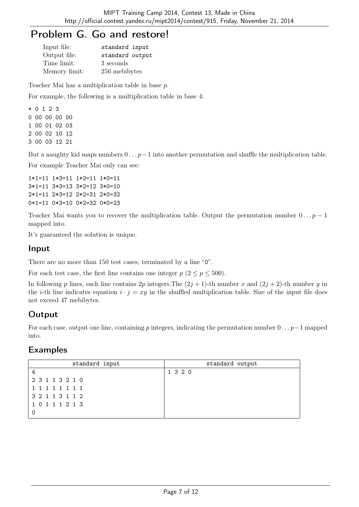# Problem G. Go and restore!

| Input file:   | standard input  |
|---------------|-----------------|
| Output file:  | standard output |
| Time limit:   | 3 seconds       |
| Memory limit: | 256 mebibytes   |

Teacher Mai has a multiplication table in base p.

For example, the following is a multiplication table in base 4:

\* 0 1 2 3 0 00 00 00 00 1 00 01 02 03 2 00 02 10 12 3 00 03 12 21

But a naughty kid maps numbers  $0 \dots p-1$  into another permutation and shuffle the multiplication table.

For example Teacher Mai only can see:

1\*1=11 1\*3=11 1\*2=11 1\*0=11 3\*1=11 3\*3=13 3\*2=12 3\*0=10 2\*1=11 2\*3=12 2\*2=31 2\*0=32 0\*1=11 0\*3=10 0\*2=32 0\*0=23

Teacher Mai wants you to recover the multiplication table. Output the permutation number  $0 \dots p-1$ mapped into.

It's guaranteed the solution is unique.

#### Input

There are no more than 150 test cases, terminated by a line "0".

For each test case, the first line contains one integer  $p$  ( $2 \le p \le 500$ ).

In following p lines, each line contains 2p integers. The  $(2j + 1)$ -th number x and  $(2j + 2)$ -th number y in the *i*-th line indicates equation  $i \cdot j = xy$  in the shuffled multiplication table. Size of the input file does not exceed 47 mebibytes.

# **Output**

For each case, output one line, containing p integers, indicating the permutation number  $0 \dots p-1$  mapped into.

| standard input  | standard output |
|-----------------|-----------------|
|                 | 1 3 2 0         |
| 2 3 1 1 3 2 1 0 |                 |
| 1 1 1 1 1 1 1 1 |                 |
| 3 2 1 1 3 1 1 2 |                 |
| 10111213        |                 |
|                 |                 |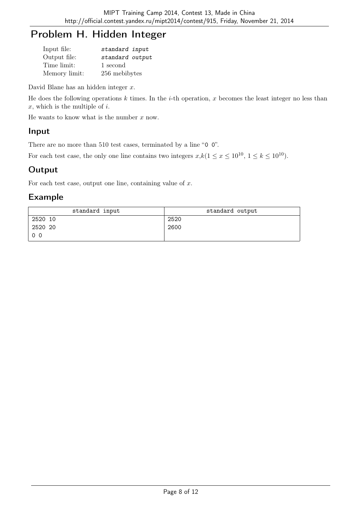# Problem H. Hidden Integer

| Input file:   | standard input  |
|---------------|-----------------|
| Output file:  | standard output |
| Time limit:   | 1 second        |
| Memory limit: | 256 mebibytes   |

David Blane has an hidden integer  $x$ .

He does the following operations  $k$  times. In the  $i$ -th operation,  $x$  becomes the least integer no less than  $x$ , which is the multiple of  $i$ .

He wants to know what is the number  $x$  now.

#### Input

There are no more than 510 test cases, terminated by a line "0 0".

For each test case, the only one line contains two integers  $x, k(1 \le x \le 10^{10}, 1 \le k \le 10^{10})$ .

## **Output**

For each test case, output one line, containing value of  $x$ .

| standard input | standard output |
|----------------|-----------------|
| 2520 10        | 2520            |
| 2520 20        | 2600            |
| 0 <sub>0</sub> |                 |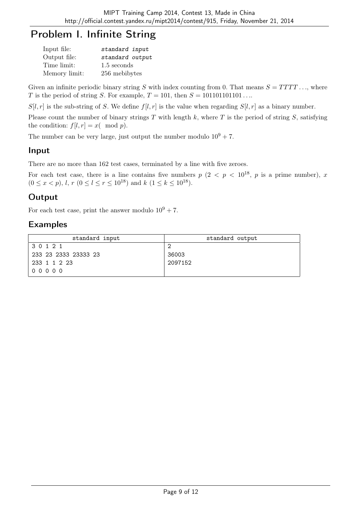# Problem I. Infinite String

| Input file:   | standard input  |
|---------------|-----------------|
| Output file:  | standard output |
| Time limit:   | 1.5 seconds     |
| Memory limit: | 256 mebibytes   |

Given an infinite periodic binary string S with index counting from 0. That means  $S = TTTT$ ..., where T is the period of string S. For example,  $T = 101$ , then  $S = 101101101101...$ 

 $S[l, r]$  is the sub-string of S. We define  $f[l, r]$  is the value when regarding  $S[l, r]$  as a binary number.

Please count the number of binary strings  $T$  with length  $k$ , where  $T$  is the period of string  $S$ , satisfying the condition:  $f[l, r] = x \pmod{p}$ .

The number can be very large, just output the number modulo  $10^9 + 7$ .

### Input

There are no more than 162 test cases, terminated by a line with five zeroes.

For each test case, there is a line contains five numbers  $p$   $(2 < p < 10^{18}, p$  is a prime number), x  $(0 \le x < p)$ , *l*,  $r$   $(0 \le l \le r \le 10^{18})$  and  $k$   $(1 \le k \le 10^{18})$ .

## **Output**

For each test case, print the answer modulo  $10^9 + 7$ .

| standard input       | standard output |
|----------------------|-----------------|
| 30121                |                 |
| 233 23 2333 23333 23 | 36003           |
| 233 1 1 2 23         | 2097152         |
| $00000$              |                 |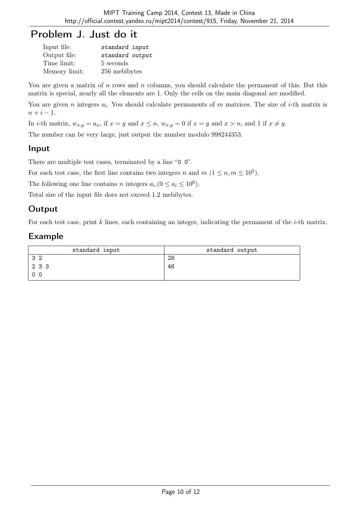# Problem J. Just do it

| Input file:   | standard input  |
|---------------|-----------------|
| Output file:  | standard output |
| Time limit:   | 5 seconds       |
| Memory limit: | 256 mebibytes   |

You are given a matrix of  $n$  rows and  $n$  columns, you should calculate the permanent of this. But this matrix is special, nearly all the elements are 1. Only the cells on the main diagonal are modified.

You are given n integers  $a_i$ . You should calculate permanents of m matrices. The size of *i*-th matrix is  $n + i - 1$ .

In *i*-th matrix,  $w_{x,y} = a_x$ , if  $x = y$  and  $x \le n$ ,  $w_{x,y} = 0$  if  $x = y$  and  $x > n$ , and 1 if  $x \ne y$ .

The number can be very large, just output the number modulo 998244353.

### Input

There are multiple test cases, terminated by a line "0 0".

For each test case, the first line contains two integers n and  $m$   $(1 \leq n, m \leq 10^5)$ .

The following one line contains *n* integers  $a_i$ ,  $(0 \le a_i \le 10^6)$ .

Total size of the input file does not exceed 1.2 mebibytes.

# **Output**

For each test case, print  $k$  lines, each containing an integer, indicating the permanent of the  $i$ -th matrix.

| standard input | standard output |
|----------------|-----------------|
| 32             | 28              |
| 2 3 3          | 46              |
| 0 <sub>0</sub> |                 |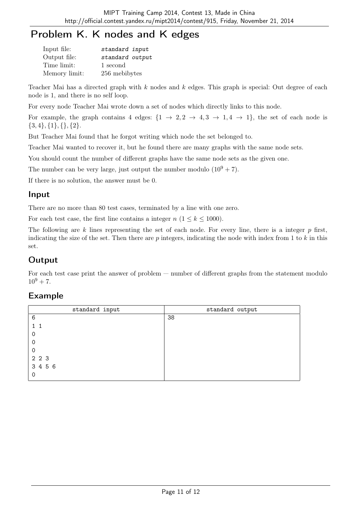# Problem K. K nodes and K edges

| Input file:   | standard input  |
|---------------|-----------------|
| Output file:  | standard output |
| Time limit:   | 1 second        |
| Memory limit: | 256 mebibytes   |

Teacher Mai has a directed graph with  $k$  nodes and  $k$  edges. This graph is special: Out degree of each node is 1, and there is no self loop.

For every node Teacher Mai wrote down a set of nodes which directly links to this node.

For example, the graph contains 4 edges:  $\{1 \rightarrow 2, 2 \rightarrow 4, 3 \rightarrow 1, 4 \rightarrow 1\}$ , the set of each node is  $\{3,4\}, \{1\}, \{\}, \{2\}.$ 

But Teacher Mai found that he forgot writing which node the set belonged to.

Teacher Mai wanted to recover it, but he found there are many graphs with the same node sets.

You should count the number of different graphs have the same node sets as the given one.

The number can be very large, just output the number modulo  $(10^9 + 7)$ .

If there is no solution, the answer must be 0.

### Input

There are no more than 80 test cases, terminated by a line with one zero.

For each test case, the first line contains a integer  $n (1 \leq k \leq 1000)$ .

The following are k lines representing the set of each node. For every line, there is a integer  $p$  first, indicating the size of the set. Then there are  $p$  integers, indicating the node with index from 1 to  $k$  in this set.

# **Output**

For each test case print the answer of problem — number of different graphs from the statement modulo  $10^9 + 7$ .

| standard input | standard output |
|----------------|-----------------|
| 6              | 38              |
|                |                 |
| 0              |                 |
| 0              |                 |
| 0              |                 |
| 2 2 3          |                 |
| 3 4 5 6        |                 |
| 0              |                 |